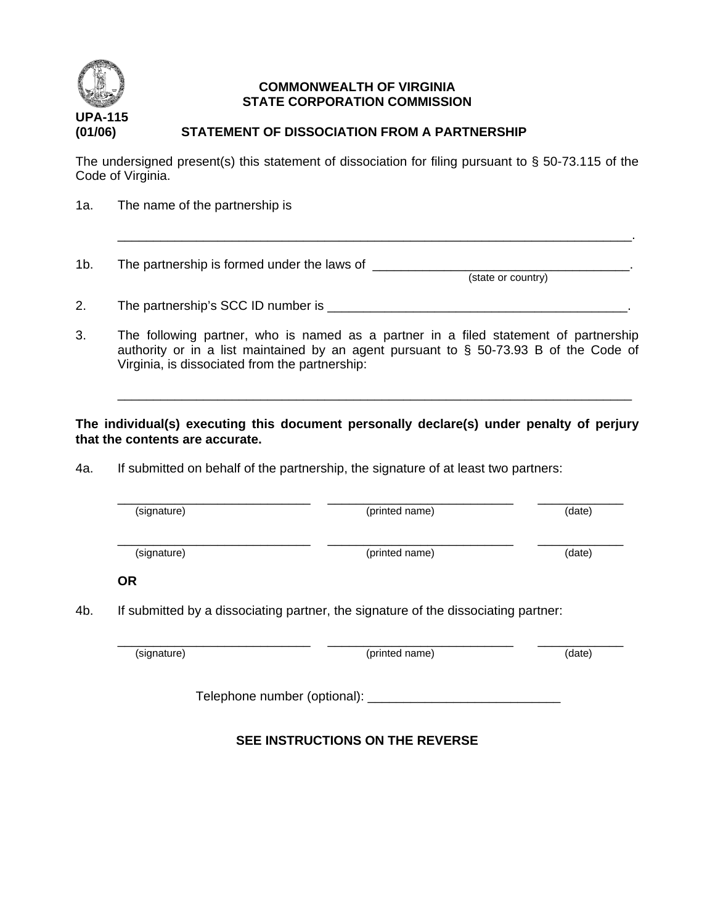

## **COMMONWEALTH OF VIRGINIA STATE CORPORATION COMMISSION**

## **UPA-115 (01/06) STATEMENT OF DISSOCIATION FROM A PARTNERSHIP**

The undersigned present(s) this statement of dissociation for filing pursuant to  $\S$  50-73.115 of the Code of Virginia.

\_\_\_\_\_\_\_\_\_\_\_\_\_\_\_\_\_\_\_\_\_\_\_\_\_\_\_\_\_\_\_\_\_\_\_\_\_\_\_\_\_\_\_\_\_\_\_\_\_\_\_\_\_\_\_\_\_\_\_\_\_\_\_\_\_\_\_\_\_\_\_\_.

| 1a. | The name of the partnership is |  |
|-----|--------------------------------|--|
|-----|--------------------------------|--|

1b. The partnership is formed under the laws of \_\_\_\_\_\_\_\_\_\_\_\_\_\_\_\_\_\_\_\_\_\_\_\_\_\_\_\_\_\_\_\_ (state or country)

- 2. The partnership's SCC ID number is \_\_\_\_\_\_\_\_\_\_\_\_\_\_\_\_\_\_\_\_\_\_\_\_\_\_\_\_\_\_\_\_\_\_\_\_\_\_\_\_\_\_.
- 3. The following partner, who is named as a partner in a filed statement of partnership authority or in a list maintained by an agent pursuant to § 50-73.93 B of the Code of Virginia, is dissociated from the partnership:

**The individual(s) executing this document personally declare(s) under penalty of perjury that the contents are accurate.**

\_\_\_\_\_\_\_\_\_\_\_\_\_\_\_\_\_\_\_\_\_\_\_\_\_\_\_\_\_\_\_\_\_\_\_\_\_\_\_\_\_\_\_\_\_\_\_\_\_\_\_\_\_\_\_\_\_\_\_\_\_\_\_\_\_\_\_\_\_\_\_\_

4a. If submitted on behalf of the partnership, the signature of at least two partners:

| (signature) | (printed name)                                                                     | (date) |
|-------------|------------------------------------------------------------------------------------|--------|
| (signature) | (printed name)                                                                     | (date) |
| <b>OR</b>   |                                                                                    |        |
|             | If submitted by a dissociating partner, the signature of the dissociating partner: |        |
|             |                                                                                    |        |

Telephone number (optional): \_\_\_\_\_\_\_\_\_\_\_\_\_\_\_\_\_\_\_\_\_\_\_\_\_\_\_

## **SEE INSTRUCTIONS ON THE REVERSE**